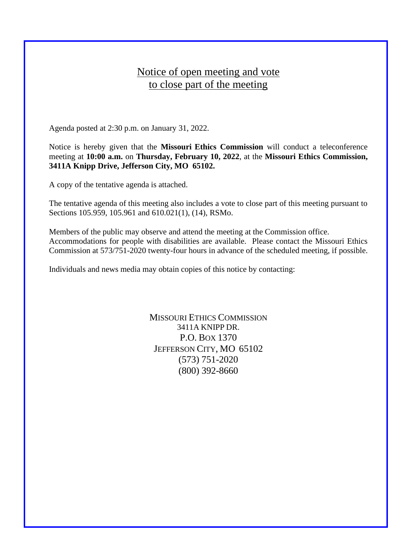## Notice of open meeting and vote to close part of the meeting

Agenda posted at 2:30 p.m. on January 31, 2022.

Notice is hereby given that the **Missouri Ethics Commission** will conduct a teleconference meeting at **10:00 a.m.** on **Thursday, February 10, 2022**, at the **Missouri Ethics Commission, 3411A Knipp Drive, Jefferson City, MO 65102.**

A copy of the tentative agenda is attached.

The tentative agenda of this meeting also includes a vote to close part of this meeting pursuant to Sections 105.959, 105.961 and 610.021(1), (14), RSMo.

Members of the public may observe and attend the meeting at the Commission office. Accommodations for people with disabilities are available. Please contact the Missouri Ethics Commission at 573/751-2020 twenty-four hours in advance of the scheduled meeting, if possible.

Individuals and news media may obtain copies of this notice by contacting:

MISSOURI ETHICS COMMISSION 3411A KNIPP DR. P.O. BOX 1370 JEFFERSON CITY, MO 65102 (573) 751-2020 (800) 392-8660